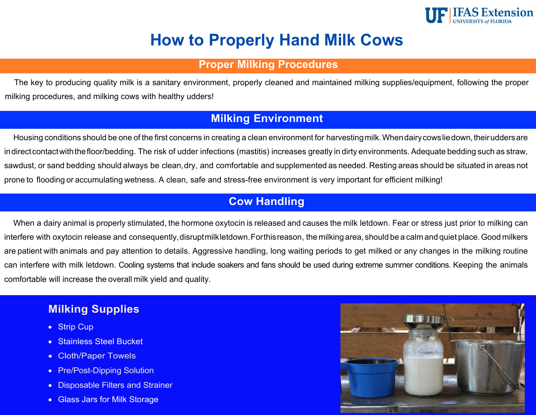

# **How to Properly Hand Milk Cows**

## **Proper Milking Procedures**

The key to producing quality milk is a sanitary environment, properly cleaned and maintained milking supplies/equipment, following the proper milking procedures, and milking cows with healthy udders!

# **Milking Environment**

Housing conditions should be one of the first concerns in creating a clean environment for harvesting milk. When dairy cows lie down, their udders are indirect contact with the floor/bedding. The risk of udder infections (mastitis) increases greatly in dirty environments. Adequate bedding such as straw, sawdust, or sand bedding should always be clean, dry, and comfortable and supplemented as needed. Resting areas should be situated in areas not prone to flooding or accumulating wetness. A clean, safe and stress-free environment is very important for efficient milking!

# **Cow Handling**

When a dairy animal is properly stimulated, the hormone oxytocin is released and causes the milk letdown. Fear or stress just prior to milking can interfere with oxytocin release and consequently, disruptmilkletdown. Forthisreason, the milking area, should be a calm and quiet place. Good milkers are patient with animals and pay attention to details. Aggressive handling, long waiting periods to get milked or any changes in the milking routine can interfere with milk letdown. Cooling systems that include soakers and fans should be used during extreme summer conditions. Keeping the animals comfortable will increase the overall milk yield and quality.

# **Milking Supplies**

- Strip Cup
- Stainless Steel Bucket
- Cloth/Paper Towels
- Pre/Post-Dipping Solution
- Disposable Filters and Strainer
- Glass Jars for Milk Storage

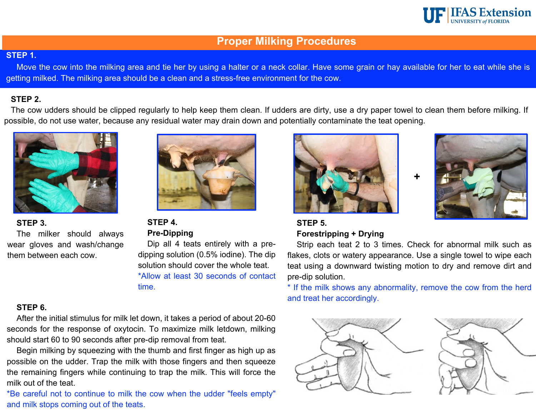

### **Proper Milking Procedures**

#### **STEP 1.**

Move the cow into the milking area and tie her by using a halter or a neck collar. Have some grain or hay available for her to eat while she is getting milked. The milking area should be a clean and a stress-free environment for the cow.

#### **STEP 2.**

The cow udders should be clipped regularly to help keep them clean. If udders are dirty, use a dry paper towel to clean them before milking. If possible, do not use water, because any residual water may drain down and potentially contaminate the teat opening.



#### **STEP 3.**

The milker should always wear gloves and wash/change them between each cow.



**STEP 4. Pre-Dipping**

Dip all 4 teats entirely with a predipping solution (0.5% iodine). The dip solution should cover the whole teat. \*Allow at least 30 seconds of contact time.

#### **STEP 6.**

After the initial stimulus for milk let down, it takes a period of about 20-60 seconds for the response of oxytocin. To maximize milk letdown, milking should start 60 to 90 seconds after pre-dip removal from teat.

Begin milking by squeezing with the thumb and first finger as high up as possible on the udder. Trap the milk with those fingers and then squeeze the remaining fingers while continuing to trap the milk. This will force the milk out of the teat.

\*Be careful not to continue to milk the cow when the udder "feels empty" and milk stops coming out of the teats.





### **STEP 5. Forestripping + Drying**

Strip each teat 2 to 3 times. Check for abnormal milk such as flakes, clots or watery appearance. Use a single towel to wipe each teat using a downward twisting motion to dry and remove dirt and pre-dip solution.

**+**

\* If the milk shows any abnormality, remove the cow from the herd and treat her accordingly.